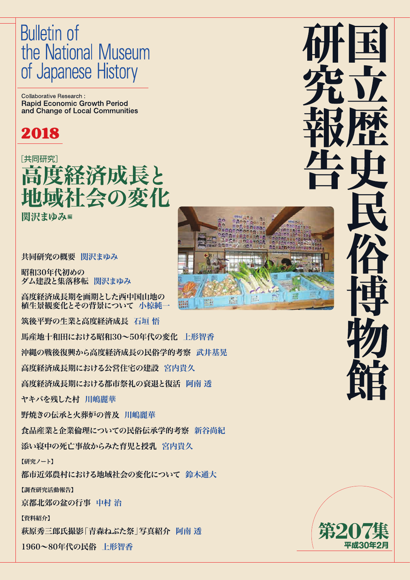# **Bulletin of** the National Museum of Japanese History

Collaborative Research: **Rapid Economic Growth Period** and Change of Local Communities

# 2018

# [共同研究] 度経済成長と !会の変化

関沢まゆみ編

共同研究の概要 関沢まゆみ

昭和30年代初めの ダム建設と集落移転 関沢まゆみ

高度経済成長期を画期とした西中国山地の 植生景観変化とその背景について 小椋純一 筑後平野の生業と高度経済成長 石垣 悟

馬産地十和田における昭和30~50年代の変化 上形智香

沖縄の戦後復興から高度経済成長の民俗学的考察 武井基晃

高度経済成長期における公営住宅の建設 宮内貴久

高度経済成長期における都市祭礼の衰退と復活 阿南 透

ヤキバを残した村 川嶋麗華

野焼きの伝承と火葬炉の普及 川嶋麗華

食品産業と企業倫理についての民俗伝承学的考察 新谷尚紀

添い寝中の死亡事故からみた育児と授乳 宮内貴久

【研究ノート】

都市近郊農村における地域社会の変化について 鈴木通大

【調査研究活動報告】

京都北郊の盆の行事 中村 治

【資料紹介】

萩原秀三郎氏撮影「青森ねぶた祭」写真紹介 阿南 透

1960~80年代の民俗 上形智香



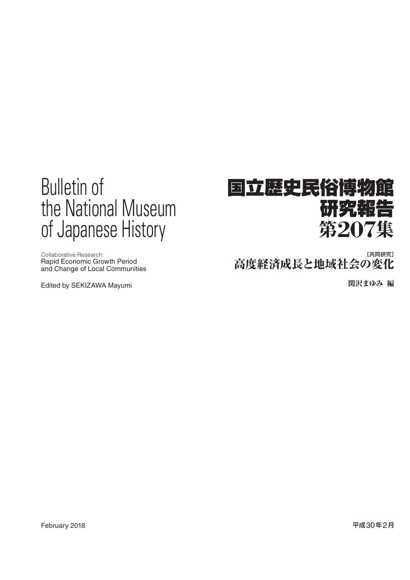# Bulletin of the National Museum of Japanese History

Collaborative Research: Rapid Economic Growth Period and Change of Local Communities

Edited by SEKIZAWA Mayumi

# 国立歴史民俗博物館 研究報 第**207**集

高度経済成長と地域社会の変化 [共同研究]

関沢まゆみ 編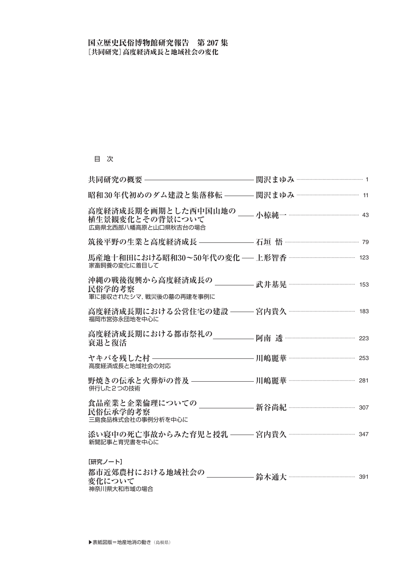# 目 次

| 植生景観変化とその背景について<br>広島県北西部八幡高原と山口県秋吉台の場合                                                  |                          |  |
|------------------------------------------------------------------------------------------|--------------------------|--|
|                                                                                          |                          |  |
| 馬産地十和田における昭和30~50年代の変化 — 上形智香 …………………………………………… 123<br>家畜飼養の変化に着目して                      |                          |  |
| 沖縄の戦後復興から高度経済成長の _____<br>民俗学的考察<br>軍に接収されたシマ、戦災後の墓の再建を事例に                               | 武井基晃 ……………………………………… 153 |  |
| 福岡市営弥永団地を中心に                                                                             |                          |  |
| 高度経済成長期における都市祭礼の<br>衰退と復活                                                                |                          |  |
| 高度経済成長と地域社会の対応                                                                           |                          |  |
| 野焼きの伝承と火葬炉の普及 ――――――――――――――――――――――――――――――――― 川嶋麗華 ……………………………………………… 281<br>併行した2つの技術 |                          |  |
| 民俗伝承学的考察<br>三島食品株式会社の事例分析を中心に                                                            |                          |  |
| 新聞記事と育児書を中心に                                                                             |                          |  |
| [研究ノート]<br>都市近郊農村における地域社会の<br>変化について<br>神奈川県大和市域の場合                                      |                          |  |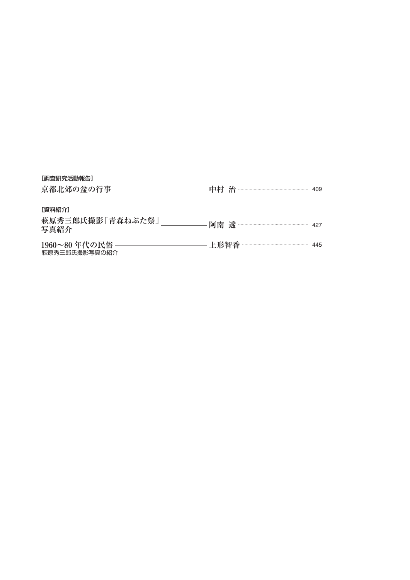| [調査研究活動報告]<br>京都北郊の盆の行事 ―――――――――  |                             |  |
|------------------------------------|-----------------------------|--|
| 「資料紹介」<br>萩原秀三郎氏撮影「青森ねぶた祭」<br>写真紹介 | — 阿南 透 ………………………………………… 427 |  |
| 萩原秀三郎氏撮影写真の紹介                      |                             |  |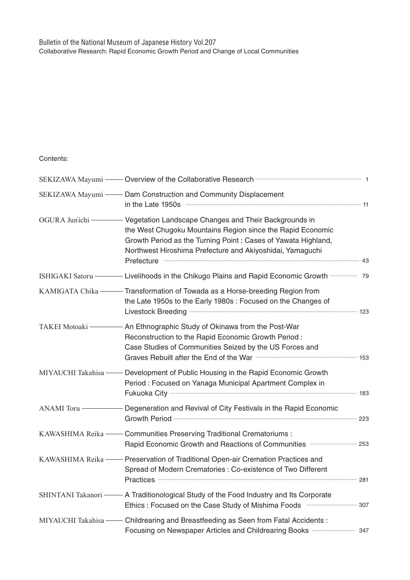## Contents:

|                     | SEKIZAWA Mayumi — Dam Construction and Community Displacement<br>in the Late 1950s <b>www.communications.communications.</b> 11                                                                                                                                                                |  |
|---------------------|------------------------------------------------------------------------------------------------------------------------------------------------------------------------------------------------------------------------------------------------------------------------------------------------|--|
| OGURA Jun'ichi -    | Vegetation Landscape Changes and Their Backgrounds in<br>the West Chugoku Mountains Region since the Rapid Economic<br>Growth Period as the Turning Point : Cases of Yawata Highland,<br>Northwest Hiroshima Prefecture and Akiyoshidai, Yamaguchi<br>Prefecture <b>www.warenoversites.com</b> |  |
| ISHIGAKI Satoru -   | - Livelihoods in the Chikugo Plains and Rapid Economic Growth <b>Commission</b> 79                                                                                                                                                                                                             |  |
|                     | KAMIGATA Chika - Transformation of Towada as a Horse-breeding Region from<br>the Late 1950s to the Early 1980s : Focused on the Changes of<br>Livestock Breeding <b>www.washipman.org/</b> 123                                                                                                 |  |
| TAKEI Motoaki-      | An Ethnographic Study of Okinawa from the Post-War<br>Reconstruction to the Rapid Economic Growth Period:<br>Case Studies of Communities Seized by the US Forces and                                                                                                                           |  |
| MIYAUCHI Takahisa - | Development of Public Housing in the Rapid Economic Growth<br>Period: Focused on Yanaga Municipal Apartment Complex in                                                                                                                                                                         |  |
| ANAMI Toru-         | Degeneration and Revival of City Festivals in the Rapid Economic                                                                                                                                                                                                                               |  |
| KAWASHIMA Reika-    | <b>Communities Preserving Traditional Crematoriums:</b><br>Rapid Economic Growth and Reactions of Communities <b>manufarity</b> 253                                                                                                                                                            |  |
| KAWASHIMA Reika —   | - Preservation of Traditional Open-air Cremation Practices and<br>Spread of Modern Crematories : Co-existence of Two Different<br>Practices <b>281</b>                                                                                                                                         |  |
|                     | SHINTANI Takanori — A Traditionological Study of the Food Industry and Its Corporate<br>Ethics: Focused on the Case Study of Mishima Foods manufactures 307                                                                                                                                    |  |
|                     | MIYAUCHI Takahisa - Childrearing and Breastfeeding as Seen from Fatal Accidents:<br>Focusing on Newspaper Articles and Childrearing Books <b></b> 347                                                                                                                                          |  |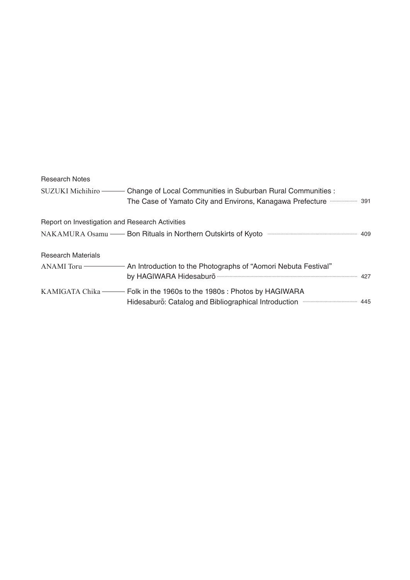# Research Notes

|                                                 | SUZUKI Michihiro —— Change of Local Communities in Suburban Rural Communities :      |  |
|-------------------------------------------------|--------------------------------------------------------------------------------------|--|
| Report on Investigation and Research Activities |                                                                                      |  |
|                                                 | NAKAMURA Osamu —— Bon Rituals in Northern Outskirts of Kyoto ——————————————————— 409 |  |
| <b>Research Materials</b>                       |                                                                                      |  |
|                                                 |                                                                                      |  |
|                                                 | Hidesaburō: Catalog and Bibliographical Introduction manufacture and 445             |  |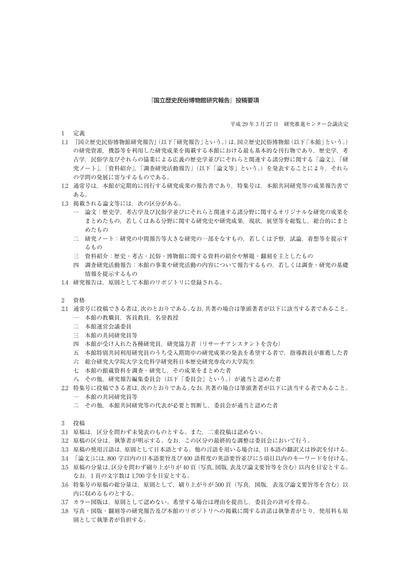#### 『国立歴史民俗博物館研究報告』投稿要項

1 定義

平成 29 年 3 月 27 日 研究推進センター会議決定

- 1.1 『国立歴史民俗博物館研究報告』(以下「研究報告」という。)は,国立歴史民俗博物館(以下「本館」という。) の研究資源、機器等を利用した研究成果を掲載する本館における最も基本的な刊行物であり、歴史学、考 古学,民俗学及びそれらの協業による広義の歴史学並びにそれらと関連する諸分野に関する「論文」,「研 究ノート」,「資料紹介」,「調査研究活動報告」(以下「論文等」という。)を発表することにより,それら の学問の発展に寄与するものである。
- 1.2 通常号は,本館が定期的に刊行する研究成果の報告書であり,特集号は,本館共同研究等の成果報告書で ある。
- 1.3 掲載される論文等には,次の区分がある。
	- 一 論文:歴史学,考古学及び民俗学並びにそれらと関連する諸分野に関するオリジナルな研究の成果を まとめたもの、若しくはある分野に関する研究史や研究成果、現状、展望等を総覧し、総合的にまと めたもの
	- 二 研究ノート:研究の中間報告等大きな研究の一部をなすもの,若しくは予察,試論,着想等を提示す るもの
	- 三 資料紹介:歴史・考古・民俗・博物館に関する資料の紹介や解題・翻刻を主としたもの
	- 四 調査研究活動報告:本館の事業や研究活動の内容について報告するもの,若しくは調査・研究の基礎 情報を提示するもの
- 1.4 研究報告は、原則として本館のリポジトリに登録される。
- 2 資格
- 2.1 通常号に投稿できる者は,次のとおりである。なお,共著の場合は筆頭著者が以下に該当する者であること。 一 本館の教職員,客員教員,名誉教授
	- 二 本館運営会議委員
	- 三 本館の共同研究員等
	- 四 本館が受け入れた各種研究員,研究協力者(リサーチアシスタントを含む)
	- 五 本館特別共同利用研究員のうち受入期間中の研究成果の発表を希望する者で、指導教員が推薦した者
	- 六 総合研究大学院大学文化科学研究科日本歴史研究専攻の大学院生
	- 七 本館の館蔵資料を調査・研究し,その成果をまとめた者
	- 八 その他,研究報告編集委員会(以下「委員会」という。)が適当と認めた者
- 2.2 特集号に投稿できる者は,次のとおりである。なお,共著の場合は筆頭著者が以下に該当する者であること。 一 本館の共同研究員等
	- 二 その他,本館共同研究等の代表が必要と判断し,委員会が適当と認めた者
- 3 投稿
- 3.1 原稿は,区分を問わず未発表のものとする。また,二重投稿は認めない。
- 3.2 原稿の区分は,執筆者が明示する。なお,この区分の最終的な調整は委員会において行う。
- 3.3 原稿の使用言語は,原則として日本語とする。他の言語を用いる場合は,日本語の翻訳又は抄訳を付ける。
- 3.4 「論文」には,800 字以内の日本語要旨及び 400 語程度の英語要旨並びに 5 項目以内のキーワードを付ける。
- 3.5 原稿の分量は,区分を問わず刷り上がりが 40 頁(写真,図版,表及び論文要旨等を含む)以内を目安とする。 なお,1 頁の文字数は 1,700 字を目安とする。
- 3.6 特集号の原稿の総分量は、原則として、刷り上がりが 500 頁 (写真, 図版, 表及び論文要旨等を含む)以 内に収めるものとする。
- 3.7 カラー図版は,原則として認めない。希望する場合は理由を提出し,委員会の許可を得る。
- 3.8 写真・図版・翻刻等の研究報告及び本館のリポジトリへの掲載に関する許諾は執筆者がとり、使用料も原 則として執筆者が負担する。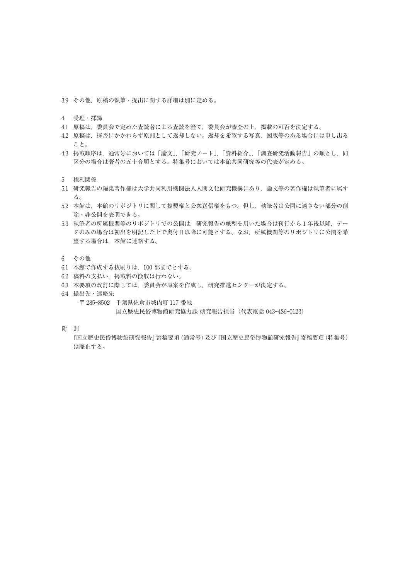3.9 その他,原稿の執筆・提出に関する詳細は別に定める。

- 4 受理・採録
- 4.1 原稿は、委員会で定めた査読者による査読を経て、委員会が審査の上、掲載の可否を決定する。
- 4.2 原稿は,採否にかかわらず原則として返却しない。返却を希望する写真,図版等のある場合には申し出る こと。
- 4.3 掲載順序は、通常号においては「論文」,「研究ノート」,「資料紹介」,「調査研究活動報告」の順とし,同 区分の場合は著者の五十音順とする。特集号においては本館共同研究等の代表が定める。
- 5 権利関係
- 5.1 研究報告の編集著作権は大学共同利用機関法人人間文化研究機構にあり,論文等の著作権は執筆者に属す る。
- 5.2 本館は、本館のリポジトリに関して複製権と公衆送信権をもつ。但し、執筆者は公開に適さない部分の削 除・非公開を表明できる。
- 5.3 執筆者の所属機関等のリポジトリでの公開は,研究報告の紙型を用いた場合は刊行から 1 年後以降,デー タのみの場合は初出を明記した上で奥付日以降に可能とする。なお,所属機関等のリポジトリに公開を希 望する場合は,本館に連絡する。
- 6 その他
- 6.1 本館で作成する抜刷りは,100 部までとする。
- 6.2 稿料の支払い,掲載料の徴収は行わない。
- 6.3 本要項の改訂に際しては,委員会が原案を作成し,研究推進センターが決定する。
- 6.4 提出先・連絡先
	- 〒 285-8502 千葉県佐倉市城内町 117 番地

国立歴史民俗博物館研究協力課 研究報告担当(代表電話 043-486-0123)

附 則

 『国立歴史民俗博物館研究報告』寄稿要項(通常号)及び『国立歴史民俗博物館研究報告』寄稿要項(特集号) は廃止する。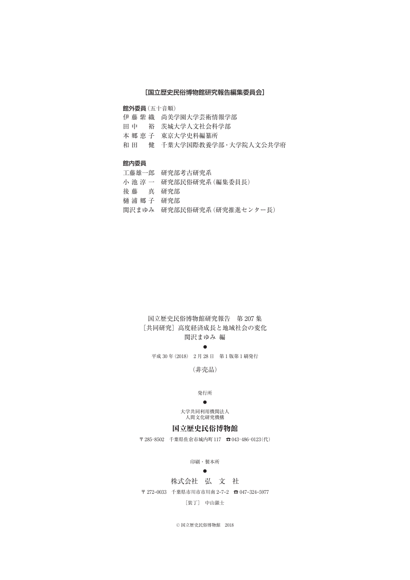#### [国立歴史民俗博物館研究報告編集委員会]

館外委員(五十音順)

伊藤紫織 尚美学園大学芸術情報学部 田中 裕 茨城大学人文社会科学部 本郷恵子 東京大学史料編纂所 和田 健 千葉大学国際教養学部・大学院人文公共学府

#### 館内委員

|              | 工藤雄一郎 研究部考古研究系             |
|--------------|----------------------------|
|              | 小 池 淳 一 研究部民俗研究系 (編集委員長)   |
| 後 藤 真 研究部    |                            |
| 桶 浦 郷 子  研究部 |                            |
|              | 関沢まゆみ 研究部民俗研究系 (研究推進センター長) |

### 国立歴史民俗博物館研究報告 第 207 集 [共同研究] 高度経済成長と地域社会の変化 関沢まゆみ 編

#### ●

平成 30 年(2018) 2 月 28 日 第 1 版第 1 刷発行

(非売品)

#### 発行所

#### ●

大学共同利用機関法人 人間文化研究機構

### 国立歴史民俗博物館

〒 285–8502 千葉県佐倉市城内町 117 ☎ 043–486–0123(代)

印刷・製本所

### ●

### 株式会社 弘 文 社

〒 272–0033 千葉県市川市市川南 2–7–2 ☎ 047–324–5977

[装丁] 中山銀士

© 国立歴史民俗博物館 2018